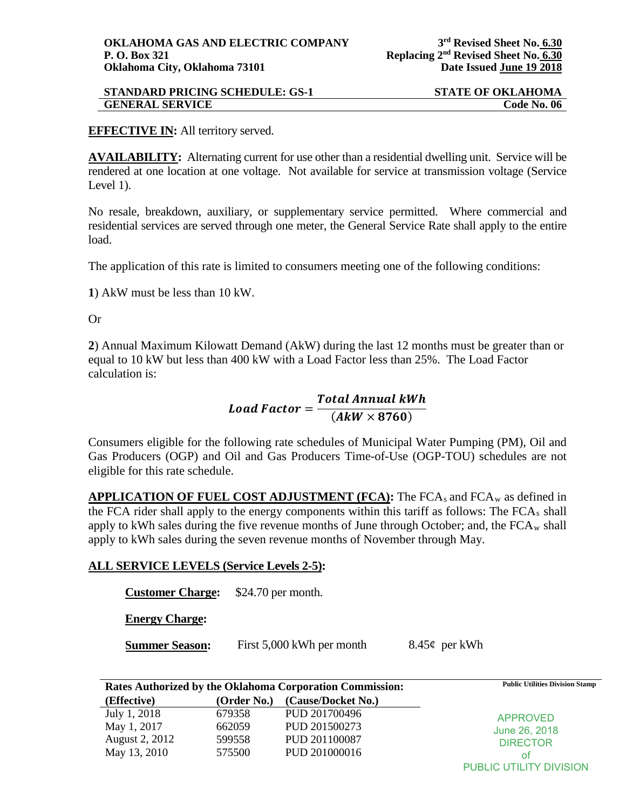| <b>STANDARD PRICING SCHEDULE: GS-1</b> | <b>STATE OF OKLAHOMA</b> |
|----------------------------------------|--------------------------|
| <b>GENERAL SERVICE</b>                 | Code No. 06              |

## **EFFECTIVE IN:** All territory served.

**AVAILABILITY:** Alternating current for use other than a residential dwelling unit. Service will be rendered at one location at one voltage. Not available for service at transmission voltage (Service Level 1).

No resale, breakdown, auxiliary, or supplementary service permitted. Where commercial and residential services are served through one meter, the General Service Rate shall apply to the entire load.

The application of this rate is limited to consumers meeting one of the following conditions:

**1**) AkW must be less than 10 kW.

Or

**2**) Annual Maximum Kilowatt Demand (AkW) during the last 12 months must be greater than or equal to 10 kW but less than 400 kW with a Load Factor less than 25%. The Load Factor calculation is:

## Load Factor =  $\frac{Total \, Annual \, kWh}{(4 \times 8760)}$  $(AkW \times 8760)$

Consumers eligible for the following rate schedules of Municipal Water Pumping (PM), Oil and Gas Producers (OGP) and Oil and Gas Producers Time-of-Use (OGP-TOU) schedules are not eligible for this rate schedule.

**APPLICATION OF FUEL COST ADJUSTMENT (FCA):** The FCAs and FCAw as defined in the FCA rider shall apply to the energy components within this tariff as follows: The FCA<sub>s</sub> shall apply to kWh sales during the five revenue months of June through October; and, the  $FCA_w$  shall apply to kWh sales during the seven revenue months of November through May.

## **ALL SERVICE LEVELS (Service Levels 2-5):**

**Customer Charge:** \$24.70 per month.

**Energy Charge:** 

**Summer Season:** First 5,000 kWh per month 8.45¢ per kWh

**Rates Authorized by the Oklahoma Corporation Commission: Public Utilities Division Stamp**

| Rates Authorized by the Oklahoma Corporation Commission: |             | I donc cuntites Division Stamp |                 |
|----------------------------------------------------------|-------------|--------------------------------|-----------------|
| (Effective)                                              | (Order No.) | (Cause/Docket No.)             |                 |
| July 1, 2018                                             | 679358      | PUD 201700496                  | APPROVED        |
| May 1, 2017                                              | 662059      | PUD 201500273                  | June 26, 2018   |
| August 2, 2012                                           | 599558      | PUD 201100087                  | <b>DIRECTOR</b> |
| May 13, 2010                                             | 575500      | PUD 201000016                  | οt              |
|                                                          |             |                                |                 |

PUBLIC UTILITY DIVISION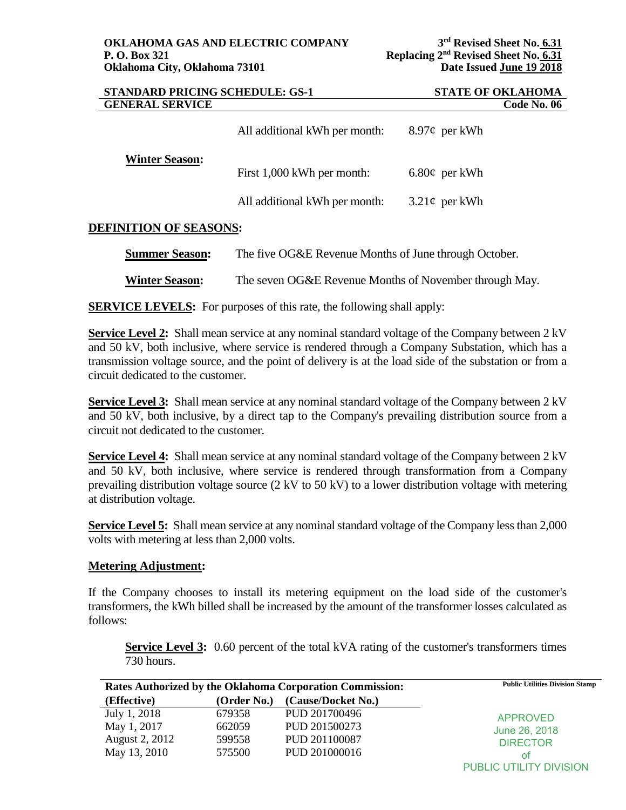| <b>STANDARD PRICING SCHEDULE: GS-1</b> |                                                       | <b>STATE OF OKLAHOMA</b> |  |
|----------------------------------------|-------------------------------------------------------|--------------------------|--|
| <b>GENERAL SERVICE</b>                 |                                                       | Code No. 06              |  |
|                                        | All additional kWh per month:                         | 8.97¢ per kWh            |  |
| <b>Winter Season:</b>                  | First 1,000 kWh per month:                            | $6.80\phi$ per kWh       |  |
|                                        | All additional kWh per month:                         | $3.21\phi$ per kWh       |  |
| <b>DEFINITION OF SEASONS:</b>          |                                                       |                          |  |
| <b>Summer Season:</b>                  | The five OG&E Revenue Months of June through October. |                          |  |

**Winter Season:** The seven OG&E Revenue Months of November through May.

**SERVICE LEVELS:** For purposes of this rate, the following shall apply:

**Service Level 2:** Shall mean service at any nominal standard voltage of the Company between 2 kV and 50 kV, both inclusive, where service is rendered through a Company Substation, which has a transmission voltage source, and the point of delivery is at the load side of the substation or from a circuit dedicated to the customer.

**Service Level 3:** Shall mean service at any nominal standard voltage of the Company between 2 kV and 50 kV, both inclusive, by a direct tap to the Company's prevailing distribution source from a circuit not dedicated to the customer.

**Service Level 4:** Shall mean service at any nominal standard voltage of the Company between 2 kV and 50 kV, both inclusive, where service is rendered through transformation from a Company prevailing distribution voltage source (2 kV to 50 kV) to a lower distribution voltage with metering at distribution voltage.

**Service Level 5:** Shall mean service at any nominal standard voltage of the Company less than 2,000 volts with metering at less than 2,000 volts.

## **Metering Adjustment:**

If the Company chooses to install its metering equipment on the load side of the customer's transformers, the kWh billed shall be increased by the amount of the transformer losses calculated as follows:

**Service Level 3:** 0.60 percent of the total kVA rating of the customer's transformers times 730 hours.

| Rates Authorized by the Oklahoma Corporation Commission: |             |                    | <b>Public Utilities Division Stamp</b> |
|----------------------------------------------------------|-------------|--------------------|----------------------------------------|
| (Effective)                                              | (Order No.) | (Cause/Docket No.) |                                        |
| July 1, 2018                                             | 679358      | PUD 201700496      | <b>APPROVED</b>                        |
| May 1, 2017                                              | 662059      | PUD 201500273      | June 26, 2018                          |
| <b>August 2, 2012</b>                                    | 599558      | PUD 201100087      | <b>DIRECTOR</b>                        |
| May 13, 2010                                             | 575500      | PUD 201000016      | οt                                     |
|                                                          |             |                    | PUBLIC UTILITY DIVISION                |